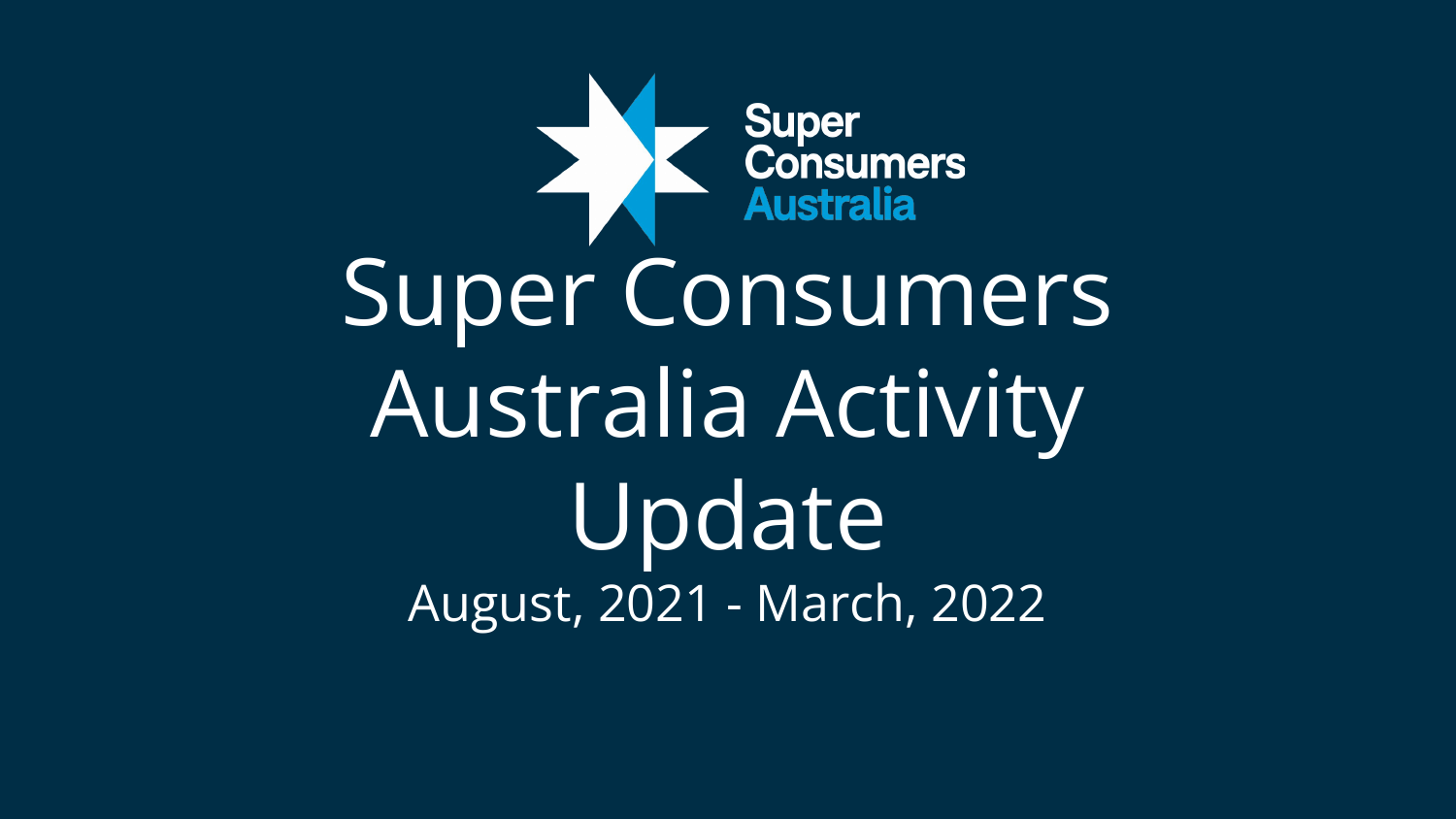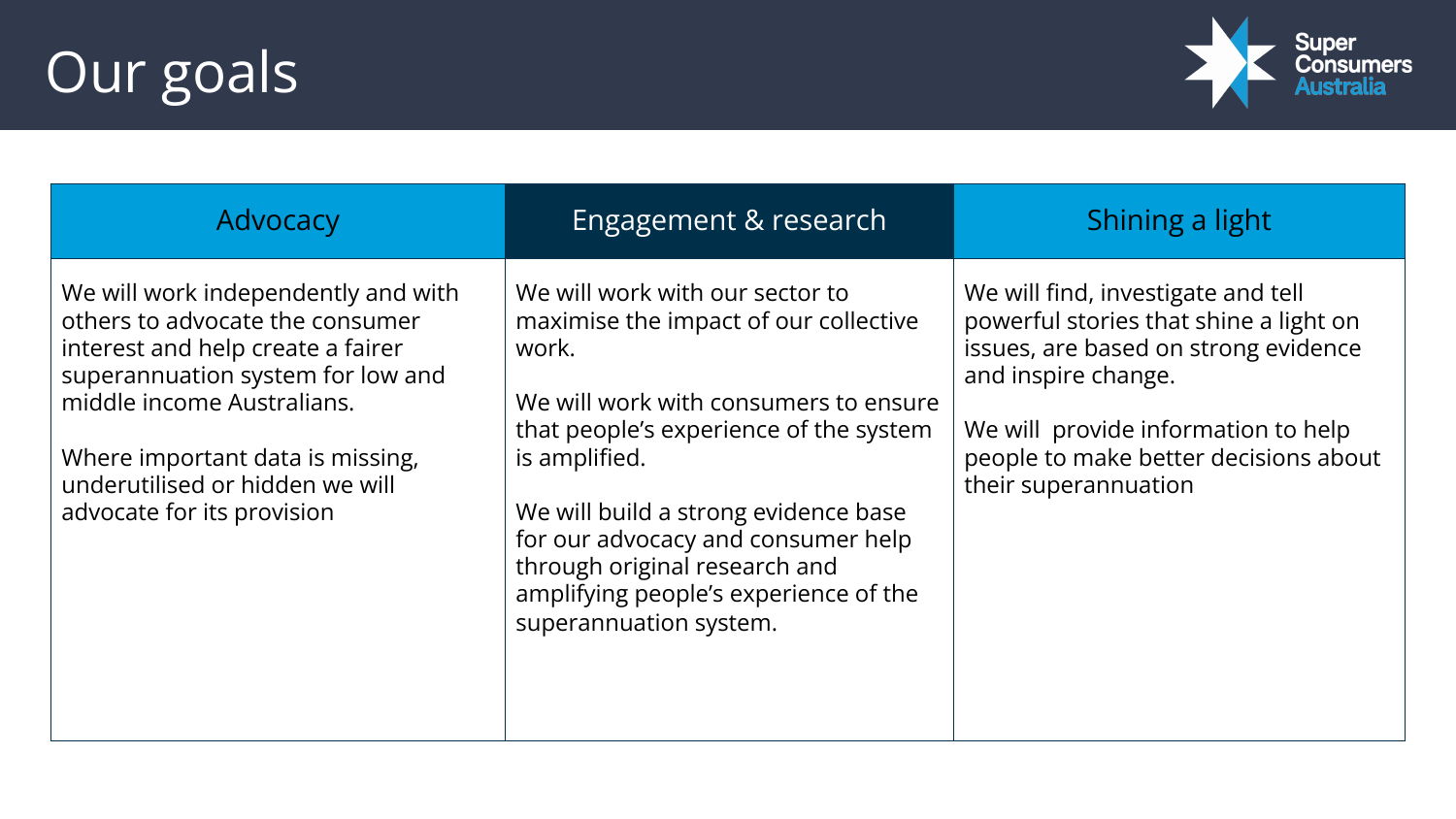# Our goals



| Advocacy                                                                                                                                                                                                                                                                            | Engagement & research                                                                                                                                                                                                                                                                                                                                                   | Shining a light                                                                                                                                                                                                                                     |
|-------------------------------------------------------------------------------------------------------------------------------------------------------------------------------------------------------------------------------------------------------------------------------------|-------------------------------------------------------------------------------------------------------------------------------------------------------------------------------------------------------------------------------------------------------------------------------------------------------------------------------------------------------------------------|-----------------------------------------------------------------------------------------------------------------------------------------------------------------------------------------------------------------------------------------------------|
| We will work independently and with<br>others to advocate the consumer<br>interest and help create a fairer<br>superannuation system for low and<br>middle income Australians.<br>Where important data is missing,<br>underutilised or hidden we will<br>advocate for its provision | We will work with our sector to<br>maximise the impact of our collective<br>work.<br>We will work with consumers to ensure<br>that people's experience of the system<br>is amplified.<br>We will build a strong evidence base<br>for our advocacy and consumer help<br>through original research and<br>amplifying people's experience of the<br>superannuation system. | We will find, investigate and tell<br>powerful stories that shine a light on<br>issues, are based on strong evidence<br>and inspire change.<br>We will provide information to help<br>people to make better decisions about<br>their superannuation |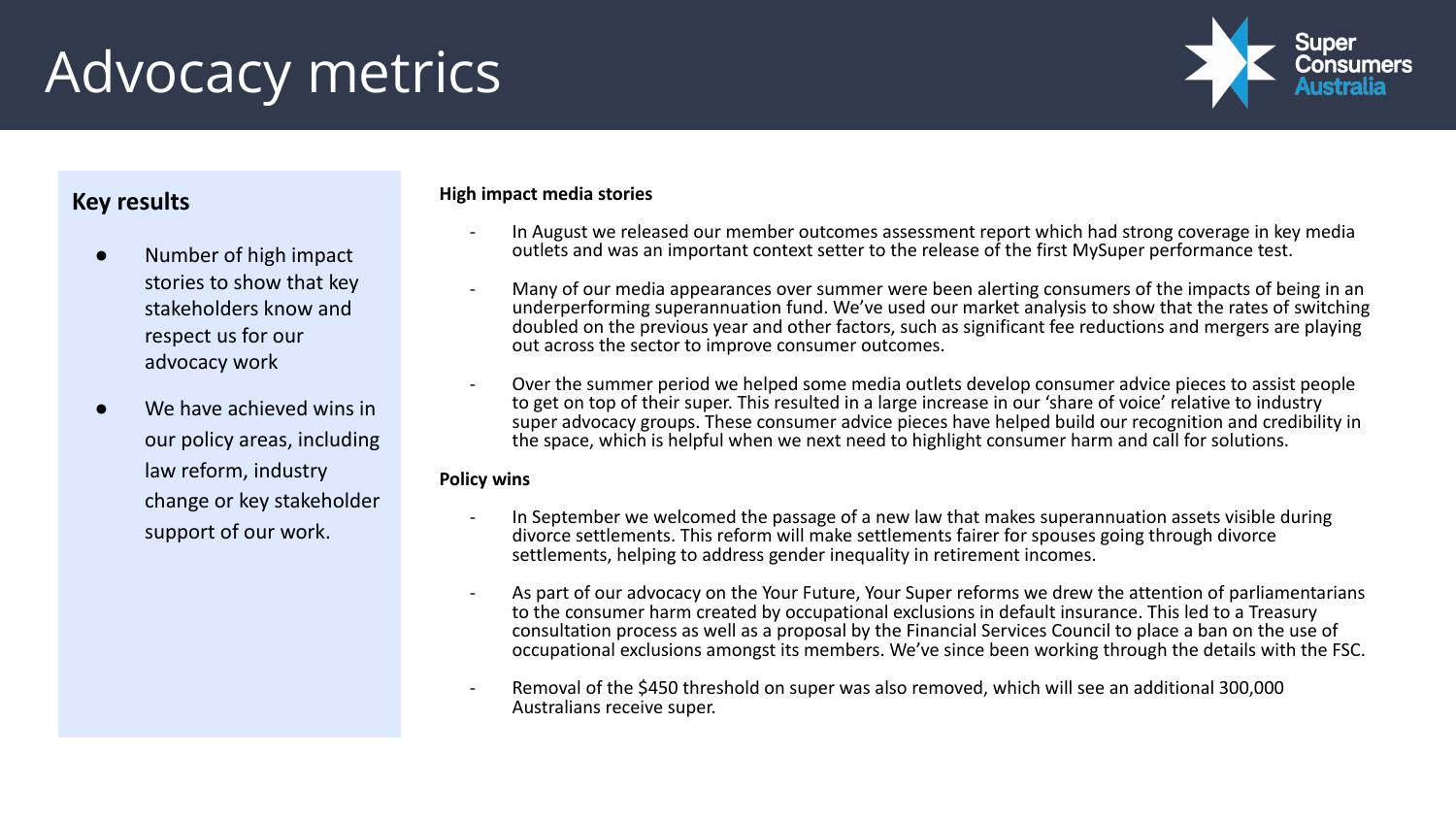# Advocacy metrics



## **Key results**

- Number of high impact stories to show that key stakeholders know and respect us for our advocacy work
- We have achieved wins in our policy areas, including law reform, industry change or key stakeholder support of our work.

#### **High impact media stories**

- In August we released our member outcomes assessment report which had strong coverage in key media outlets and was an important context setter to the release of the first MySuper performance test.
- Many of our media appearances over summer were been alerting consumers of the impacts of being in an underperforming superannuation fund. We've used our market analysis to show that the rates of switching doubled on the previous year and other factors, such as significant fee reductions and mergers are playing out across the sector to improve consumer outcomes.
- Over the summer period we helped some media outlets develop consumer advice pieces to assist people to get on top of their super. This resulted in a large increase in our 'share of voice' relative to industry super advocacy groups. These consumer advice pieces have helped build our recognition and credibility in the space, which is helpful when we next need to highlight consumer harm and call for solutions.

#### **Policy wins**

- In September we welcomed the passage of a new law that makes superannuation assets visible during divorce settlements. This reform will make settlements fairer for spouses going through divorce settlements, helping to address gender inequality in retirement incomes.
- As part of our advocacy on the Your Future, Your Super reforms we drew the attention of parliamentarians to the consumer harm created by occupational exclusions in default insurance. This led to a Treasury consultation process as well as a proposal by the Financial Services Council to place a ban on the use of occupational exclusions amongst its members. We've since been working through the details with the FSC.
- Removal of the \$450 threshold on super was also removed, which will see an additional 300,000 Australians receive super.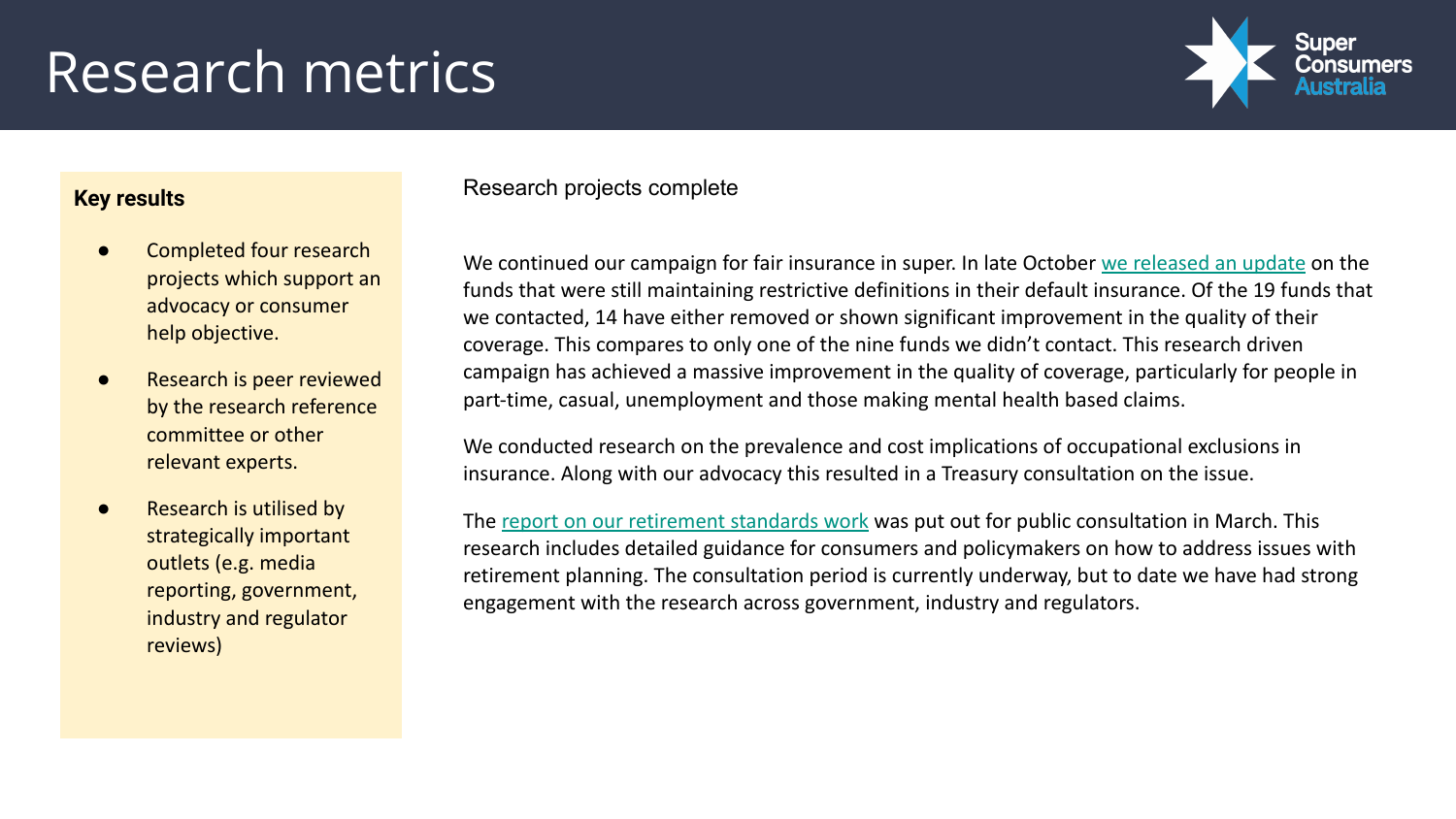# Research metrics



### **Key results**

- Completed four research projects which support an advocacy or consumer help objective.
- Research is peer reviewed by the research reference committee or other relevant experts.
- Research is utilised by strategically important outlets (e.g. media reporting, government, industry and regulator reviews)

Research projects complete

We continued our campaign for fair insurance in super. In late October [we released an update](https://superblog.netlify.app/2021/10/28/update-on-restrictive-tpd-policies/) on the funds that were still maintaining restrictive definitions in their default insurance. Of the 19 funds that we contacted, 14 have either removed or shown significant improvement in the quality of their coverage. This compares to only one of the nine funds we didn't contact. This research driven campaign has achieved a massive improvement in the quality of coverage, particularly for people in part-time, casual, unemployment and those making mental health based claims.

We conducted research on the prevalence and cost implications of occupational exclusions in insurance. Along with our advocacy this resulted in a Treasury consultation on the issue.

The [report on our retirement standards work](https://static1.squarespace.com/static/5d2828f4ce1ef00001f592bb/t/622034730da5aa35241c6058/1646277749515/Super+Consumers+Australia+launches+consultation+3+March.pdf) was put out for public consultation in March. This research includes detailed guidance for consumers and policymakers on how to address issues with retirement planning. The consultation period is currently underway, but to date we have had strong engagement with the research across government, industry and regulators.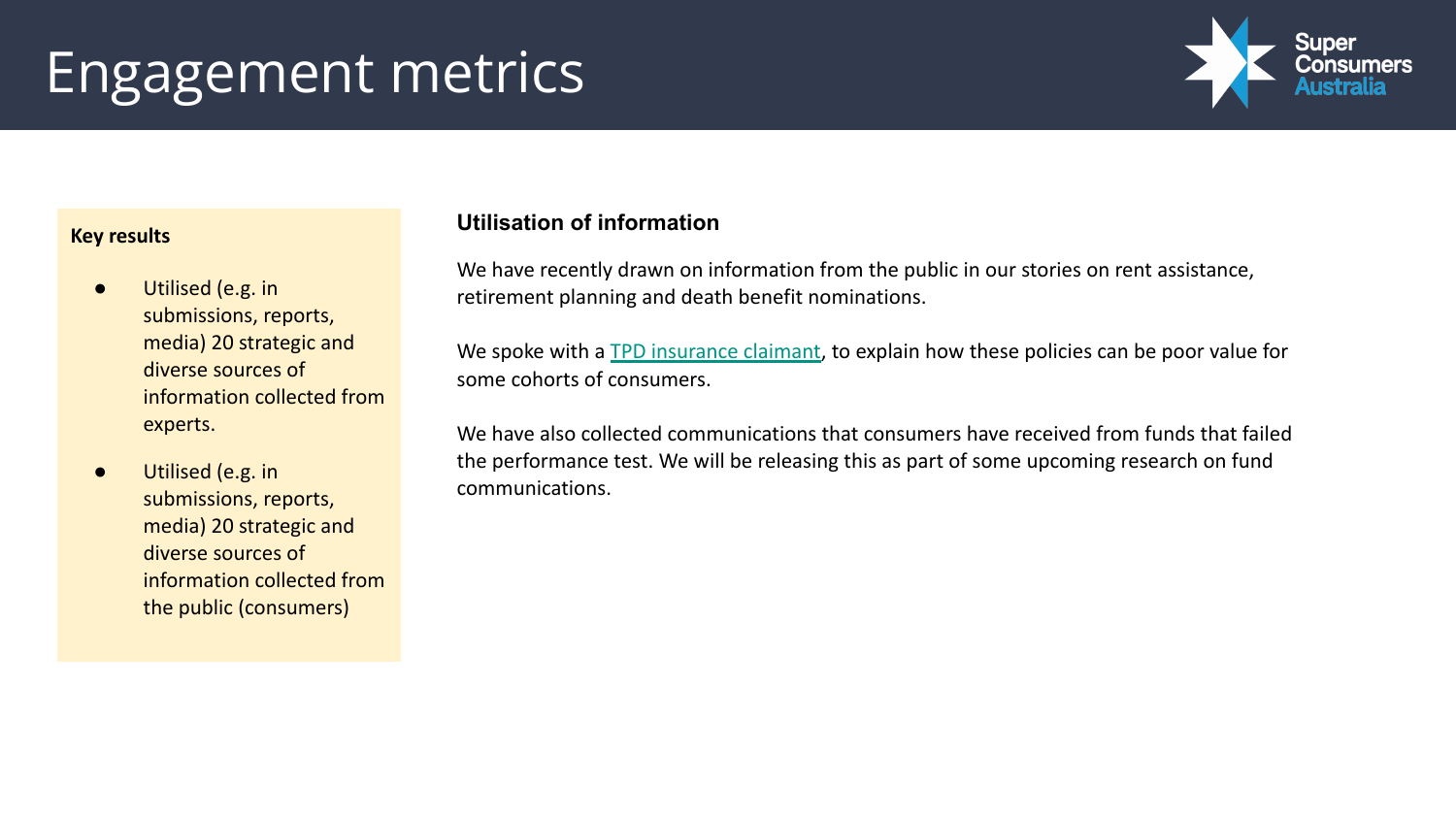# Engagement metrics



#### **Key results**

- Utilised (e.g. in submissions, reports, media) 20 strategic and diverse sources of information collected from experts.
- Utilised (e.g. in submissions, reports, media) 20 strategic and diverse sources of information collected from the public (consumers)

### **Utilisation of information**

We have recently drawn on information from the public in our stories on rent assistance, retirement planning and death benefit nominations.

We spoke with a [TPD insurance claimant](https://www.choice.com.au/money/financial-planning-and-investing/superannuation/articles/rachels-story), to explain how these policies can be poor value for some cohorts of consumers.

We have also collected communications that consumers have received from funds that failed the performance test. We will be releasing this as part of some upcoming research on fund communications.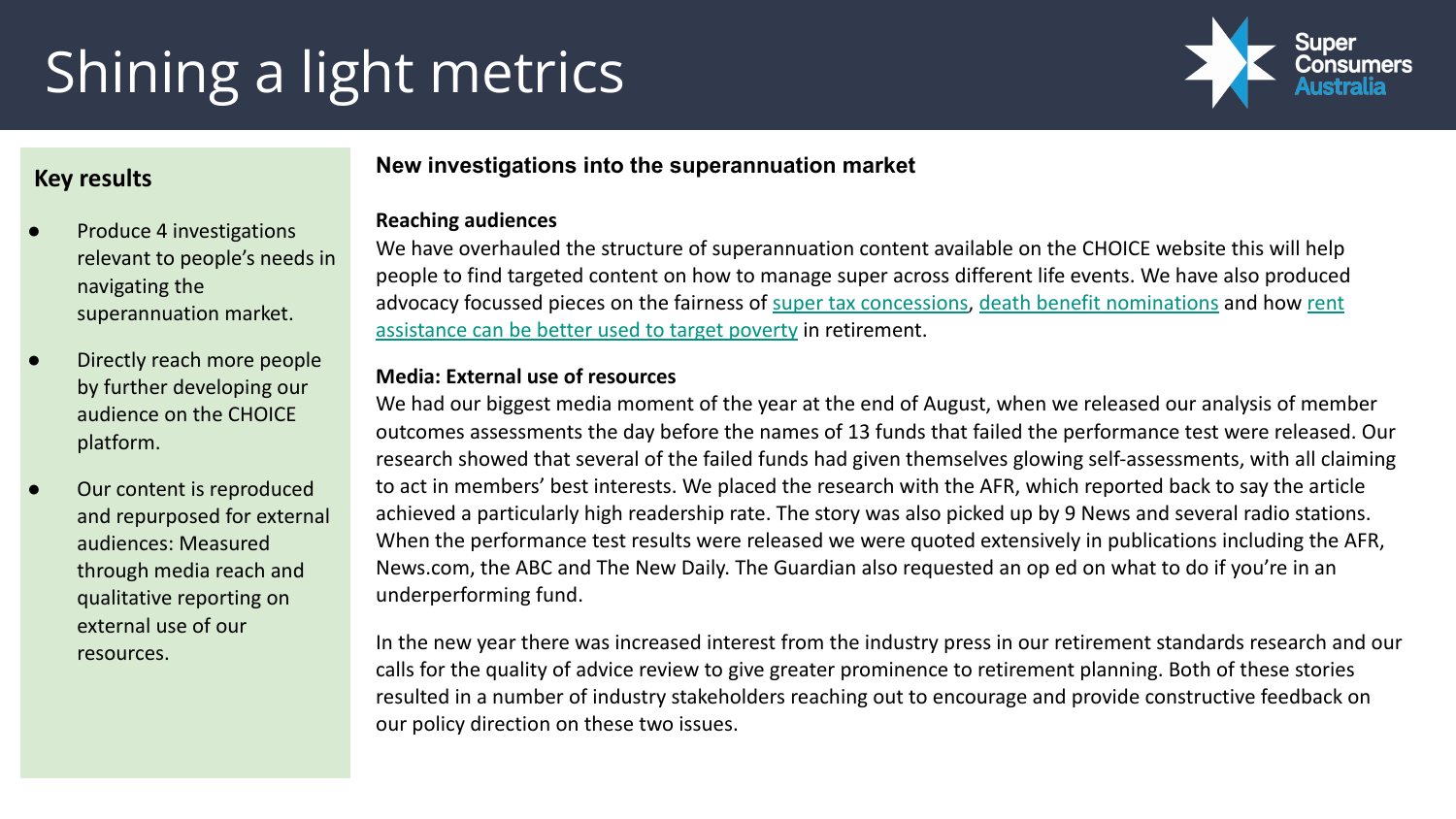# Shining a light metrics



### **Key results**

- Produce 4 investigations relevant to people's needs in navigating the superannuation market.
- Directly reach more people by further developing our audience on the CHOICE platform.
- Our content is reproduced and repurposed for external audiences: Measured through media reach and qualitative reporting on external use of our resources.

### **New investigations into the superannuation market**

#### **Reaching audiences**

We have overhauled the structure of superannuation content available on the CHOICE website this will help people to find targeted content on how to manage super across different life events. We have also produced advocacy focussed pieces on the fairness of [super tax concessions,](https://www.choice.com.au/money/financial-planning-and-investing/superannuation/articles/super-tax-concessions) [death benefit nominations](https://www.choice.com.au/money/financial-planning-and-investing/superannuation/articles/death-benefits) and how [rent](https://www.choice.com.au/money/financial-planning-and-investing/superannuation/articles/retired-renters) [assistance can be better used to target poverty](https://www.choice.com.au/money/financial-planning-and-investing/superannuation/articles/retired-renters) in retirement.

#### **Media: External use of resources**

We had our biggest media moment of the year at the end of August, when we released our analysis of member outcomes assessments the day before the names of 13 funds that failed the performance test were released. Our research showed that several of the failed funds had given themselves glowing self-assessments, with all claiming to act in members' best interests. We placed the research with the AFR, which reported back to say the article achieved a particularly high readership rate. The story was also picked up by 9 News and several radio stations. When the performance test results were released we were quoted extensively in publications including the AFR, News.com, the ABC and The New Daily. The Guardian also requested an op ed on what to do if you're in an underperforming fund.

In the new year there was increased interest from the industry press in our retirement standards research and our calls for the quality of advice review to give greater prominence to retirement planning. Both of these stories resulted in a number of industry stakeholders reaching out to encourage and provide constructive feedback on our policy direction on these two issues.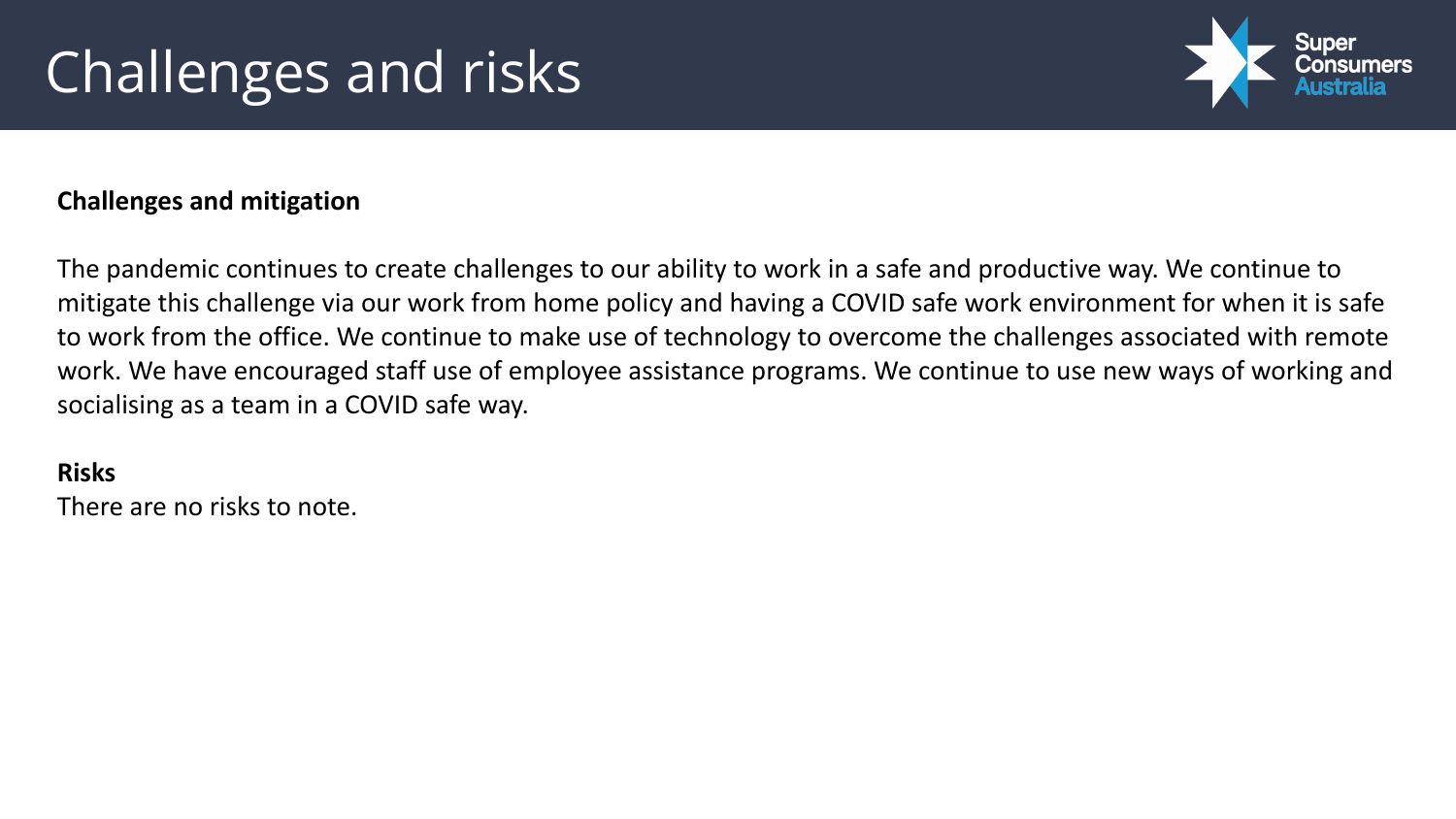

# **Challenges and mitigation**

The pandemic continues to create challenges to our ability to work in a safe and productive way. We continue to mitigate this challenge via our work from home policy and having a COVID safe work environment for when it is safe to work from the office. We continue to make use of technology to overcome the challenges associated with remote work. We have encouraged staff use of employee assistance programs. We continue to use new ways of working and socialising as a team in a COVID safe way.

## **Risks**

There are no risks to note.